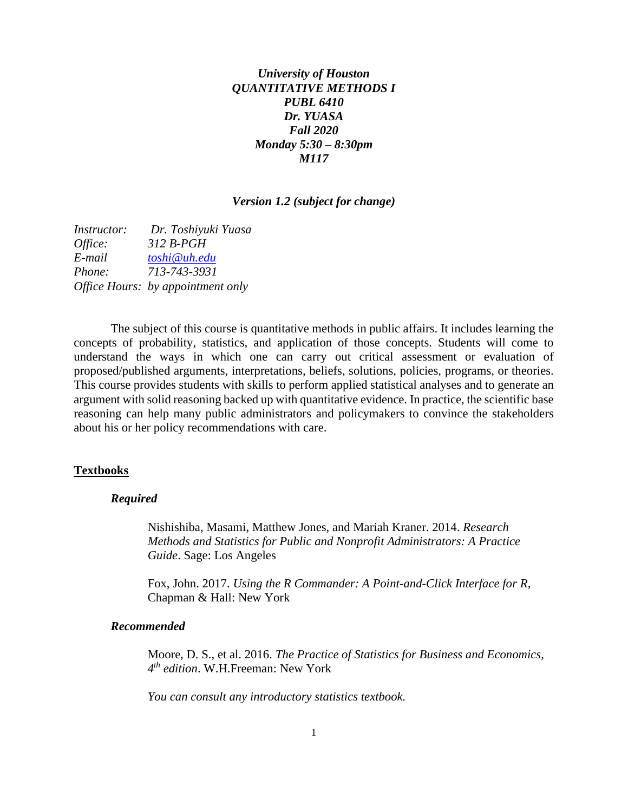# *University of Houston QUANTITATIVE METHODS I PUBL 6410 Dr. YUASA Fall 2020 Monday 5:30 – 8:30pm M117*

#### *Version 1.2 (subject for change)*

*Instructor: Dr. Toshiyuki Yuasa Office: 312 B-PGH E-mail [toshi@uh.edu](mailto:toshi@uh.edu) Phone: 713-743-3931 Office Hours: by appointment only*

The subject of this course is quantitative methods in public affairs. It includes learning the concepts of probability, statistics, and application of those concepts. Students will come to understand the ways in which one can carry out critical assessment or evaluation of proposed/published arguments, interpretations, beliefs, solutions, policies, programs, or theories. This course provides students with skills to perform applied statistical analyses and to generate an argument with solid reasoning backed up with quantitative evidence. In practice, the scientific base reasoning can help many public administrators and policymakers to convince the stakeholders about his or her policy recommendations with care.

## **Textbooks**

#### *Required*

Nishishiba, Masami, Matthew Jones, and Mariah Kraner. 2014. *Research Methods and Statistics for Public and Nonprofit Administrators: A Practice Guide*. Sage: Los Angeles

Fox, John. 2017. *Using the R Commander: A Point-and-Click Interface for R*, Chapman & Hall: New York

#### *Recommended*

Moore, D. S., et al. 2016. *The Practice of Statistics for Business and Economics, 4 th edition*. W.H.Freeman: New York

*You can consult any introductory statistics textbook.*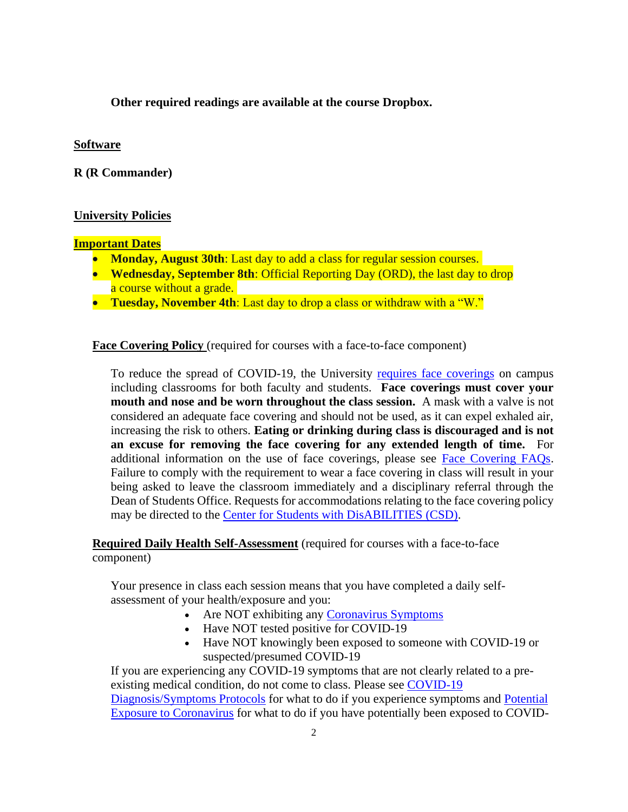**Other required readings are available at the course Dropbox.**

## **Software**

**R (R Commander)**

# **University Policies**

### **Important Dates**

- **Monday, August 30th**: Last day to add a class for regular session courses.
- **Wednesday, September 8th**: Official Reporting Day (ORD), the last day to drop a course without a grade.
- **Tuesday, November 4th**: Last day to drop a class or withdraw with a "W."

**Face Covering Policy** (required for courses with a face-to-face component)

To reduce the spread of COVID-19, the University [requires face coverings](https://uh.edu/covid-19/return-to-campus-information/face-coverings-while-on-campus/) on campus including classrooms for both faculty and students. **Face coverings must cover your mouth and nose and be worn throughout the class session.** A mask with a valve is not considered an adequate face covering and should not be used, as it can expel exhaled air, increasing the risk to others. **Eating or drinking during class is discouraged and is not an excuse for removing the face covering for any extended length of time.** For additional information on the use of face coverings, please see [Face Covering FAQs.](https://uh.edu/covid-19/faq/face-covering-faqs/) Failure to comply with the requirement to wear a face covering in class will result in your being asked to leave the classroom immediately and a disciplinary referral through the Dean of Students Office. Requests for accommodations relating to the face covering policy may be directed to the [Center for Students with DisABILITIES \(CSD\).](https://uh.edu/csd/)

**Required Daily Health Self-Assessment** (required for courses with a face-to-face component)

Your presence in class each session means that you have completed a daily selfassessment of your health/exposure and you:

- Are NOT exhibiting any [Coronavirus Symptoms](https://www.uh.edu/covid-19/information/coronavirus-symptoms/)
- Have NOT tested positive for COVID-19
- Have NOT knowingly been exposed to someone with COVID-19 or suspected/presumed COVID-19

If you are experiencing any COVID-19 symptoms that are not clearly related to a preexisting medical condition, do not come to class. Please see [COVID-19](https://www.uh.edu/covid-19/information/covid-19-diagnosis-symptoms-protocols/)  [Diagnosis/Symptoms Protocols](https://www.uh.edu/covid-19/information/covid-19-diagnosis-symptoms-protocols/) for what to do if you experience symptoms and [Potential](https://www.uh.edu/covid-19/information/potential-exposure-coronavirus/)  [Exposure to Coronavirus](https://www.uh.edu/covid-19/information/potential-exposure-coronavirus/) for what to do if you have potentially been exposed to COVID-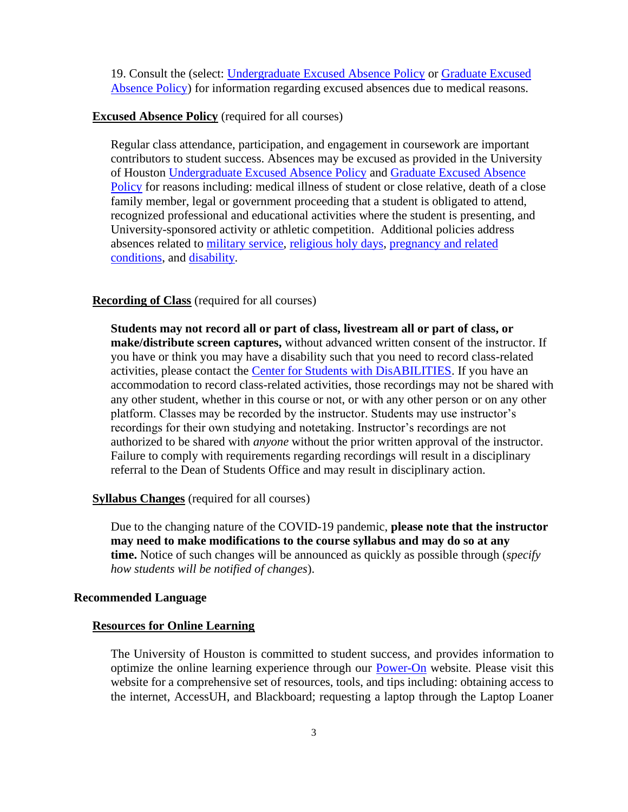19. Consult the (select: [Undergraduate Excused Absence Policy](http://catalog.uh.edu/content.php?catoid=36&navoid=13956) or [Graduate Excused](https://uh.edu/provost/policies-resources/student/excused-absence-policy/index.php)  [Absence Policy\)](https://uh.edu/provost/policies-resources/student/excused-absence-policy/index.php) for information regarding excused absences due to medical reasons.

#### **Excused Absence Policy** (required for all courses)

Regular class attendance, participation, and engagement in coursework are important contributors to student success. Absences may be excused as provided in the University of Houston [Undergraduate Excused Absence Policy](http://catalog.uh.edu/content.php?catoid=36&navoid=13956) and [Graduate Excused Absence](https://uh.edu/provost/policies-resources/student/excused-absence-policy/index.php)  [Policy](https://uh.edu/provost/policies-resources/student/excused-absence-policy/index.php) for reasons including: medical illness of student or close relative, death of a close family member, legal or government proceeding that a student is obligated to attend, recognized professional and educational activities where the student is presenting, and University-sponsored activity or athletic competition. Additional policies address absences related to [military service,](http://publications.uh.edu/content.php?catoid=34&navoid=12714) [religious holy days,](http://publications.uh.edu/content.php?catoid=34&navoid=12495) [pregnancy and related](https://uhsystem.edu/compliance-ethics/_docs/sam/01/1d7.pdf)  [conditions,](https://uhsystem.edu/compliance-ethics/_docs/sam/01/1d7.pdf) and [disability.](https://uhsystem.edu/compliance-ethics/_docs/sam/01/1d9.pdf)

### **Recording of Class** (required for all courses)

**Students may not record all or part of class, livestream all or part of class, or make/distribute screen captures,** without advanced written consent of the instructor. If you have or think you may have a disability such that you need to record class-related activities, please contact the [Center for Students with DisABILITIES.](https://uh.edu/csd/) If you have an accommodation to record class-related activities, those recordings may not be shared with any other student, whether in this course or not, or with any other person or on any other platform. Classes may be recorded by the instructor. Students may use instructor's recordings for their own studying and notetaking. Instructor's recordings are not authorized to be shared with *anyone* without the prior written approval of the instructor. Failure to comply with requirements regarding recordings will result in a disciplinary referral to the Dean of Students Office and may result in disciplinary action.

#### **Syllabus Changes** (required for all courses)

Due to the changing nature of the COVID-19 pandemic, **please note that the instructor may need to make modifications to the course syllabus and may do so at any time.** Notice of such changes will be announced as quickly as possible through (*specify how students will be notified of changes*).

## **Recommended Language**

#### **Resources for Online Learning**

The University of Houston is committed to student success, and provides information to optimize the online learning experience through our [Power-On](https://uh.edu/power-on/learning/) website. Please visit this website for a comprehensive set of resources, tools, and tips including: obtaining access to the internet, AccessUH, and Blackboard; requesting a laptop through the Laptop Loaner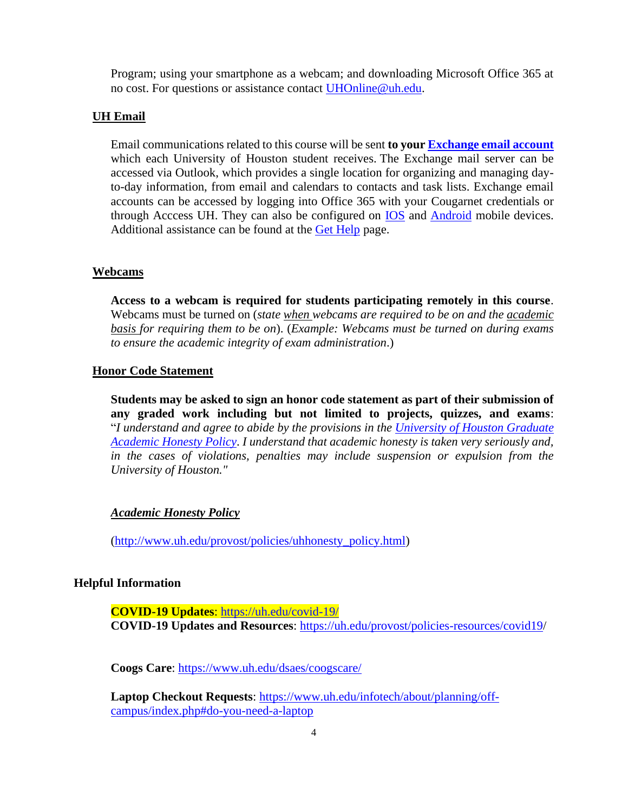Program; using your smartphone as a webcam; and downloading Microsoft Office 365 at no cost. For questions or assistance contact [UHOnline@uh.edu.](mailto:uhonline@uh.edu)

#### **UH Email**

Email communications related to this course will be sent **to your [Exchange email account](https://uh.edu/infotech/services/accounts/email/)** which each University of Houston student receives. The Exchange mail server can be accessed via Outlook, which provides a single location for organizing and managing dayto-day information, from email and calendars to contacts and task lists. Exchange email accounts can be accessed by logging into Office 365 with your Cougarnet credentials or through Acccess UH. They can also be configured on [IOS](https://uhlcithelp.zendesk.com/hc/en-us/articles/360038912674-Configuring-Office-365-Exchange-Email-using-IOS-Mobile-Devices) and [Android](https://uhlcithelp.zendesk.com/hc/en-us/articles/360039412873-Configuring-Exchange-Email-Android-Mobile-Device) mobile devices. Additional assistance can be found at the [Get Help](https://uh.edu/infotech/help/) page.

#### **Webcams**

**Access to a webcam is required for students participating remotely in this course**. Webcams must be turned on (*state when webcams are required to be on and the academic basis for requiring them to be on*). (*Example: Webcams must be turned on during exams to ensure the academic integrity of exam administration*.)

## **Honor Code Statement**

**Students may be asked to sign an honor code statement as part of their submission of any graded work including but not limited to projects, quizzes, and exams**: "*I understand and agree to abide by the provisions in the [University of Houston Graduate](http://publications.uh.edu/content.php?catoid=33&navoid=12165)  [Academic Honesty Policy](http://publications.uh.edu/content.php?catoid=33&navoid=12165)*. *I understand that academic honesty is taken very seriously and, in the cases of violations, penalties may include suspension or expulsion from the University of Houston."*

#### *Academic Honesty Policy*

[\(http://www.uh.edu/provost/policies/uhhonesty\\_policy.html\)](http://www.uh.edu/provost/policies/uhhonesty_policy.html)

## **Helpful Information**

**COVID-19 Updates**:<https://uh.edu/covid-19/> **COVID-19 Updates and Resources**: [https://uh.edu/provost/policies-resources/covid19/](https://uh.edu/provost/policies-resources/covid19)

**Coogs Care**: <https://www.uh.edu/dsaes/coogscare/>

**Laptop Checkout Requests**: [https://www.uh.edu/infotech/about/planning/off](https://www.uh.edu/infotech/about/planning/off-campus/index.php#do-you-need-a-laptop)[campus/index.php#do-you-need-a-laptop](https://www.uh.edu/infotech/about/planning/off-campus/index.php#do-you-need-a-laptop)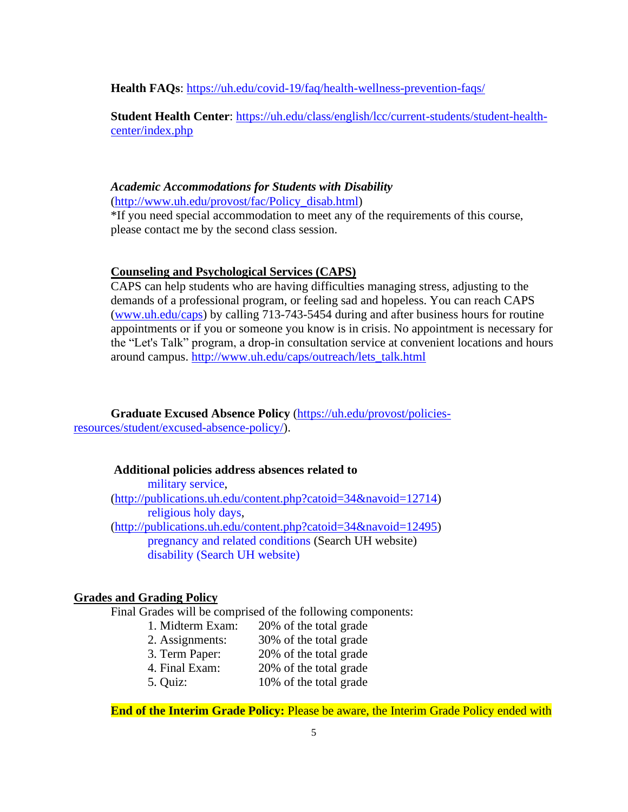**Health FAQs**:<https://uh.edu/covid-19/faq/health-wellness-prevention-faqs/>

**Student Health Center**: [https://uh.edu/class/english/lcc/current-students/student-health](https://uh.edu/class/english/lcc/current-students/student-health-center/index.php)[center/index.php](https://uh.edu/class/english/lcc/current-students/student-health-center/index.php)

# *Academic Accommodations for Students with Disability*

[\(http://www.uh.edu/provost/fac/Policy\\_disab.html\)](http://www.uh.edu/provost/fac/Policy_disab.html)

\*If you need special accommodation to meet any of the requirements of this course, please contact me by the second class session.

#### **Counseling and Psychological Services (CAPS)**

CAPS can help students who are having difficulties managing stress, adjusting to the demands of a professional program, or feeling sad and hopeless. You can reach CAPS [\(www.uh.edu/caps\)](http://www.uh.edu/caps) by calling 713-743-5454 during and after business hours for routine appointments or if you or someone you know is in crisis. No appointment is necessary for the "Let's Talk" program, a drop-in consultation service at convenient locations and hours around campus. [http://www.uh.edu/caps/outreach/lets\\_talk.html](http://www.uh.edu/caps/outreach/lets_talk.html)

**Graduate Excused Absence Policy** [\(https://uh.edu/provost/policies](https://uh.edu/provost/policies-resources/student/excused-absence-policy/)[resources/student/excused-absence-policy/\)](https://uh.edu/provost/policies-resources/student/excused-absence-policy/).

## **Additional policies address absences related to**

military service, [\(http://publications.uh.edu/content.php?catoid=34&navoid=12714\)](http://publications.uh.edu/content.php?catoid=34&navoid=12714) religious holy days, [\(http://publications.uh.edu/content.php?catoid=34&navoid=12495\)](http://publications.uh.edu/content.php?catoid=34&navoid=12495) pregnancy and related conditions (Search UH website) disability (Search UH website)

# **Grades and Grading Policy**

Final Grades will be comprised of the following components:

- 1. Midterm Exam: 20% of the total grade
- 2. Assignments: 30% of the total grade
- 3. Term Paper: 20% of the total grade
- 4. Final Exam: 20% of the total grade
- 5. Quiz: 10% of the total grade

**End of the Interim Grade Policy:** Please be aware, the Interim Grade Policy ended with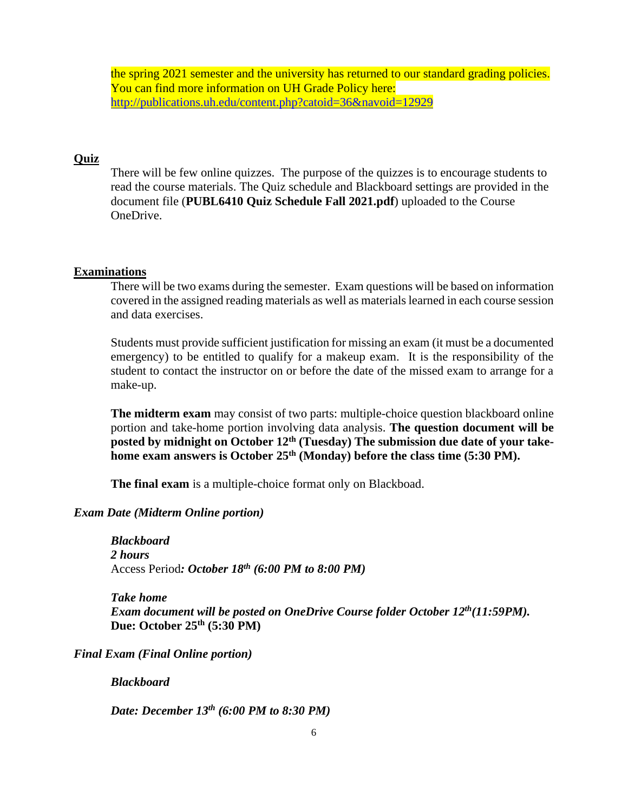the spring 2021 semester and the university has returned to our standard grading policies. You can find more information on UH Grade Policy here: <http://publications.uh.edu/content.php?catoid=36&navoid=12929>

## **Quiz**

There will be few online quizzes. The purpose of the quizzes is to encourage students to read the course materials. The Quiz schedule and Blackboard settings are provided in the document file (**PUBL6410 Quiz Schedule Fall 2021.pdf**) uploaded to the Course OneDrive.

## **Examinations**

There will be two exams during the semester. Exam questions will be based on information covered in the assigned reading materials as well as materials learned in each course session and data exercises.

Students must provide sufficient justification for missing an exam (it must be a documented emergency) to be entitled to qualify for a makeup exam. It is the responsibility of the student to contact the instructor on or before the date of the missed exam to arrange for a make-up.

**The midterm exam** may consist of two parts: multiple-choice question blackboard online portion and take-home portion involving data analysis. **The question document will be posted by midnight on October 12 th (Tuesday) The submission due date of your take**home exam answers is October 25<sup>th</sup> (Monday) before the class time (5:30 PM).

**The final exam** is a multiple-choice format only on Blackboad.

# *Exam Date (Midterm Online portion)*

*Blackboard 2 hours*  Access Period*: October 18 th (6:00 PM to 8:00 PM)*

*Take home Exam document will be posted on OneDrive Course folder October 12th(11:59PM).* **Due: October 25 th (5:30 PM)**

*Final Exam (Final Online portion)*

*Blackboard*

*Date: December 13th (6:00 PM to 8:30 PM)*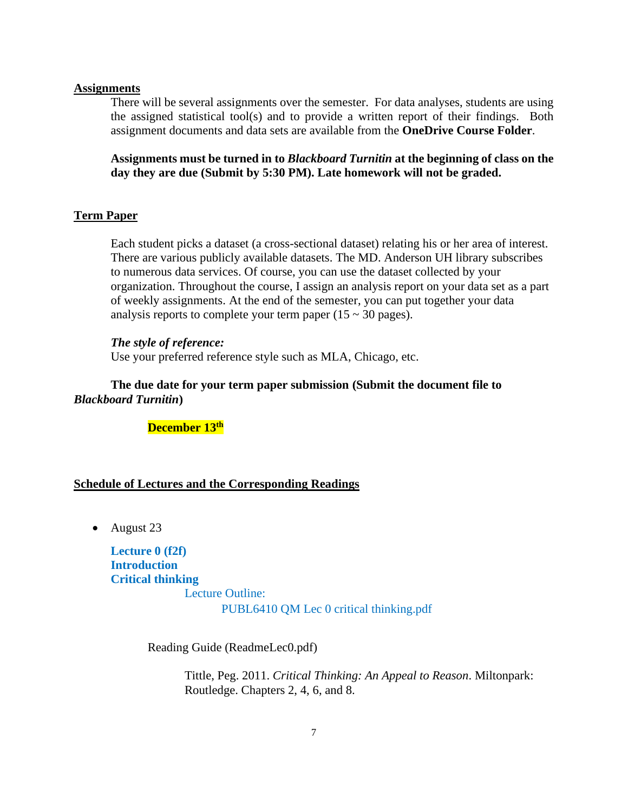#### **Assignments**

There will be several assignments over the semester. For data analyses, students are using the assigned statistical tool(s) and to provide a written report of their findings. Both assignment documents and data sets are available from the **OneDrive Course Folder**.

**Assignments must be turned in to** *Blackboard Turnitin* **at the beginning of class on the day they are due (Submit by 5:30 PM). Late homework will not be graded.**

## **Term Paper**

Each student picks a dataset (a cross-sectional dataset) relating his or her area of interest. There are various publicly available datasets. The MD. Anderson UH library subscribes to numerous data services. Of course, you can use the dataset collected by your organization. Throughout the course, I assign an analysis report on your data set as a part of weekly assignments. At the end of the semester, you can put together your data analysis reports to complete your term paper  $(15 \sim 30 \text{ pages})$ .

#### *The style of reference:*

Use your preferred reference style such as MLA, Chicago, etc.

# **The due date for your term paper submission (Submit the document file to**  *Blackboard Turnitin***)**

# **December 13 th**

#### **Schedule of Lectures and the Corresponding Readings**

• August 23

**Lecture 0 (f2f) Introduction Critical thinking** Lecture Outline: PUBL6410 QM Lec 0 critical thinking.pdf

Reading Guide (ReadmeLec0.pdf)

Tittle, Peg. 2011. *Critical Thinking: An Appeal to Reason*. Miltonpark: Routledge. Chapters 2, 4, 6, and 8.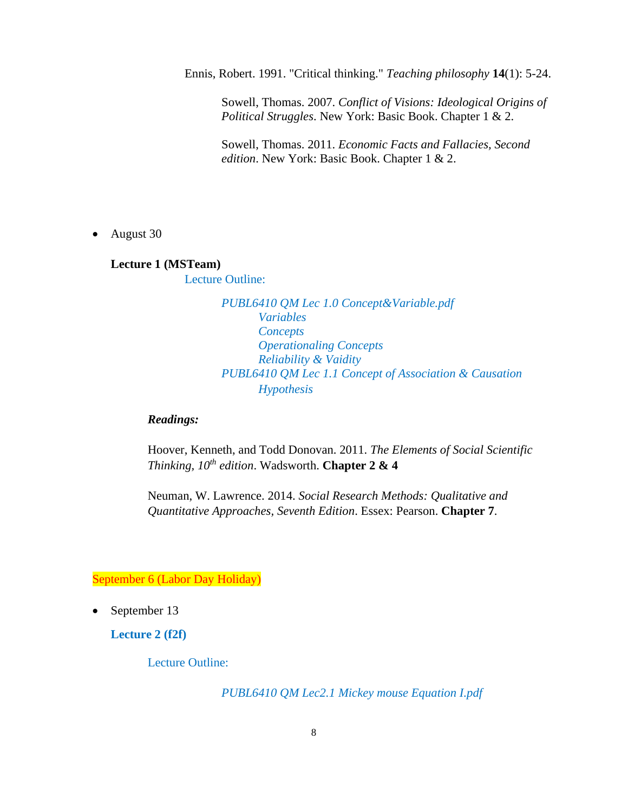Ennis, Robert. 1991. "Critical thinking." *Teaching philosophy* **14**(1): 5-24.

Sowell, Thomas. 2007. *Conflict of Visions: Ideological Origins of Political Struggles*. New York: Basic Book. Chapter 1 & 2.

Sowell, Thomas. 2011. *Economic Facts and Fallacies, Second edition*. New York: Basic Book. Chapter 1 & 2.

• August 30

### **Lecture 1 (MSTeam)**

Lecture Outline:

*PUBL6410 QM Lec 1.0 Concept&Variable.pdf Variables Concepts Operationaling Concepts Reliability & Vaidity PUBL6410 QM Lec 1.1 Concept of Association & Causation Hypothesis*

## *Readings:*

Hoover, Kenneth, and Todd Donovan. 2011. *The Elements of Social Scientific Thinking, 10th edition*. Wadsworth. **Chapter 2 & 4**

Neuman, W. Lawrence. 2014. *Social Research Methods: Qualitative and Quantitative Approaches, Seventh Edition*. Essex: Pearson. **Chapter 7**.

September 6 (Labor Day Holiday)

• September 13

**Lecture 2 (f2f)**

Lecture Outline:

*PUBL6410 QM Lec2.1 Mickey mouse Equation I.pdf*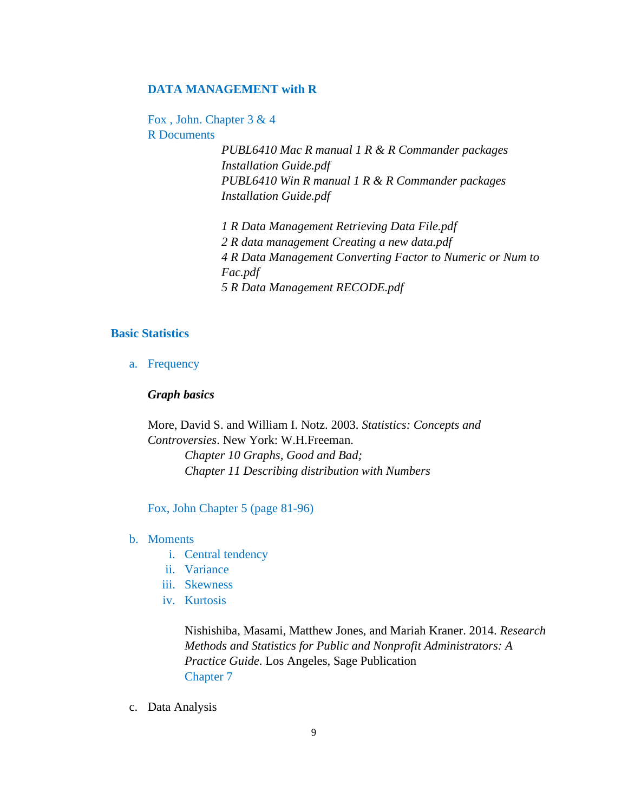#### **DATA MANAGEMENT with R**

Fox , John. Chapter 3 & 4 R Documents

> *PUBL6410 Mac R manual 1 R & R Commander packages Installation Guide.pdf PUBL6410 Win R manual 1 R & R Commander packages Installation Guide.pdf*

*1 R Data Management Retrieving Data File.pdf 2 R data management Creating a new data.pdf 4 R Data Management Converting Factor to Numeric or Num to Fac.pdf 5 R Data Management RECODE.pdf*

#### **Basic Statistics**

a. Frequency

## *Graph basics*

More, David S. and William I. Notz. 2003. *Statistics: Concepts and Controversies*. New York: W.H.Freeman.

> *Chapter 10 Graphs, Good and Bad; Chapter 11 Describing distribution with Numbers*

Fox, John Chapter 5 (page 81-96)

- b. Moments
	- i. Central tendency
	- ii. Variance
	- iii. Skewness
	- iv. Kurtosis

Nishishiba, Masami, Matthew Jones, and Mariah Kraner. 2014. *Research Methods and Statistics for Public and Nonprofit Administrators: A Practice Guide*. Los Angeles, Sage Publication Chapter 7

c. Data Analysis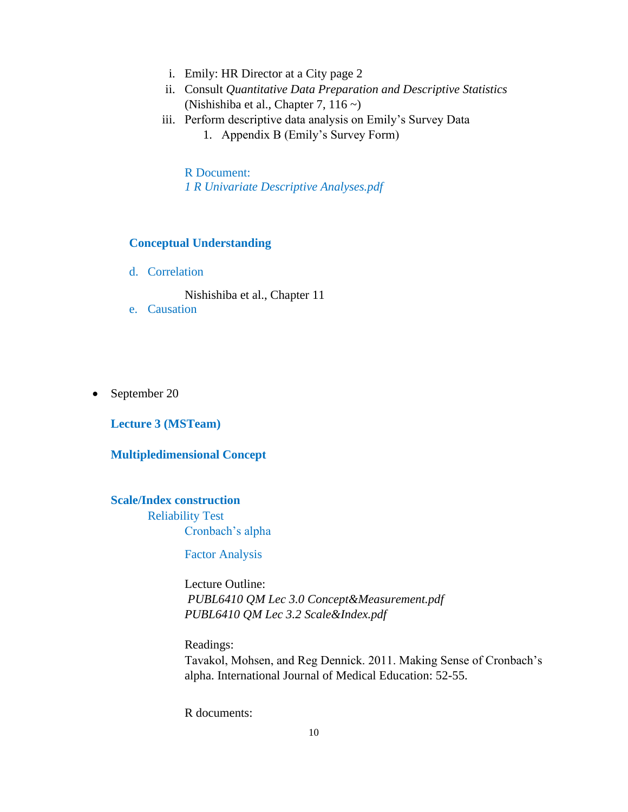- i. Emily: HR Director at a City page 2
- ii. Consult *Quantitative Data Preparation and Descriptive Statistics* (Nishishiba et al., Chapter 7, 116 ~)
- iii. Perform descriptive data analysis on Emily's Survey Data 1. Appendix B (Emily's Survey Form)

R Document: *1 R Univariate Descriptive Analyses.pdf*

## **Conceptual Understanding**

d. Correlation

Nishishiba et al., Chapter 11

- e. Causation
- September 20

**Lecture 3 (MSTeam)**

## **Multipledimensional Concept**

#### **Scale/Index construction**

Reliability Test Cronbach's alpha

Factor Analysis

Lecture Outline: *PUBL6410 QM Lec 3.0 Concept&Measurement.pdf PUBL6410 QM Lec 3.2 Scale&Index.pdf*

Readings:

Tavakol, Mohsen, and Reg Dennick. 2011. Making Sense of Cronbach's alpha. International Journal of Medical Education: 52-55.

R documents: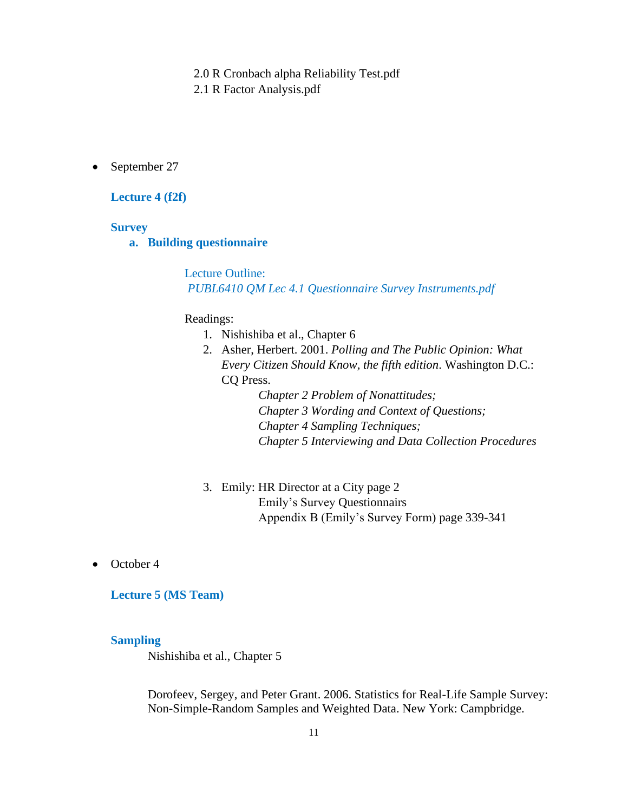2.0 R Cronbach alpha Reliability Test.pdf

2.1 R Factor Analysis.pdf

• September 27

## **Lecture 4 (f2f)**

## **Survey**

## **a. Building questionnaire**

Lecture Outline: *PUBL6410 QM Lec 4.1 Questionnaire Survey Instruments.pdf*

## Readings:

- 1. Nishishiba et al., Chapter 6
- 2. Asher, Herbert. 2001. *Polling and The Public Opinion: What Every Citizen Should Know, the fifth edition*. Washington D.C.: CQ Press.

*Chapter 2 Problem of Nonattitudes; Chapter 3 Wording and Context of Questions; Chapter 4 Sampling Techniques; Chapter 5 Interviewing and Data Collection Procedures*

- 3. Emily: HR Director at a City page 2 Emily's Survey Questionnairs Appendix B (Emily's Survey Form) page 339-341
- October 4

# **Lecture 5 (MS Team)**

## **Sampling**

Nishishiba et al., Chapter 5

Dorofeev, Sergey, and Peter Grant. 2006. Statistics for Real-Life Sample Survey: Non-Simple-Random Samples and Weighted Data. New York: Campbridge.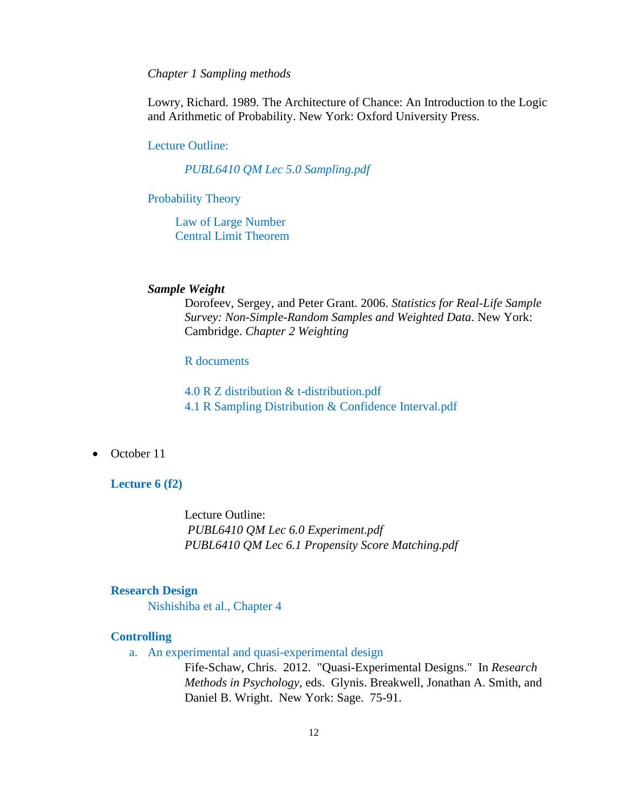## *Chapter 1 Sampling methods*

Lowry, Richard. 1989. The Architecture of Chance: An Introduction to the Logic and Arithmetic of Probability. New York: Oxford University Press.

## Lecture Outline:

*PUBL6410 QM Lec 5.0 Sampling.pdf*

## Probability Theory

Law of Large Number Central Limit Theorem

# *Sample Weight*

Dorofeev, Sergey, and Peter Grant. 2006. *Statistics for Real-Life Sample Survey: Non-Simple-Random Samples and Weighted Data*. New York: Cambridge. *Chapter 2 Weighting*

# R documents

4.0 R Z distribution & t-distribution.pdf 4.1 R Sampling Distribution & Confidence Interval.pdf

### • October 11

## **Lecture 6 (f2)**

Lecture Outline: *PUBL6410 QM Lec 6.0 Experiment.pdf PUBL6410 QM Lec 6.1 Propensity Score Matching.pdf*

# **Research Design**

Nishishiba et al., Chapter 4

## **Controlling**

a. An experimental and quasi-experimental design

Fife-Schaw, Chris. 2012. "Quasi-Experimental Designs." In *Research Methods in Psychology*, eds. Glynis. Breakwell, Jonathan A. Smith, and Daniel B. Wright. New York: Sage. 75-91.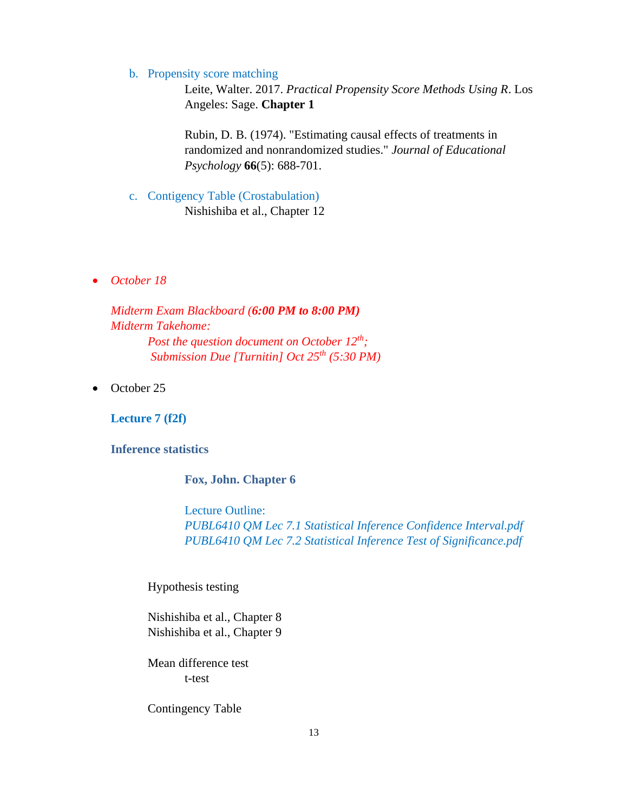#### b. Propensity score matching

Leite, Walter. 2017. *Practical Propensity Score Methods Using R*. Los Angeles: Sage. **Chapter 1**

Rubin, D. B. (1974). "Estimating causal effects of treatments in randomized and nonrandomized studies." *Journal of Educational Psychology* **66**(5): 688-701.

- c. Contigency Table (Crostabulation) Nishishiba et al., Chapter 12
- *October 18*

*Midterm Exam Blackboard (6:00 PM to 8:00 PM) Midterm Takehome: Post the question document on October 12th; Submission Due [Turnitin] Oct 25th (5:30 PM)*

• October 25

**Lecture 7 (f2f)**

**Inference statistics**

# **Fox, John. Chapter 6**

Lecture Outline: *PUBL6410 QM Lec 7.1 Statistical Inference Confidence Interval.pdf PUBL6410 QM Lec 7.2 Statistical Inference Test of Significance.pdf*

Hypothesis testing

Nishishiba et al., Chapter 8 Nishishiba et al., Chapter 9

Mean difference test t-test

Contingency Table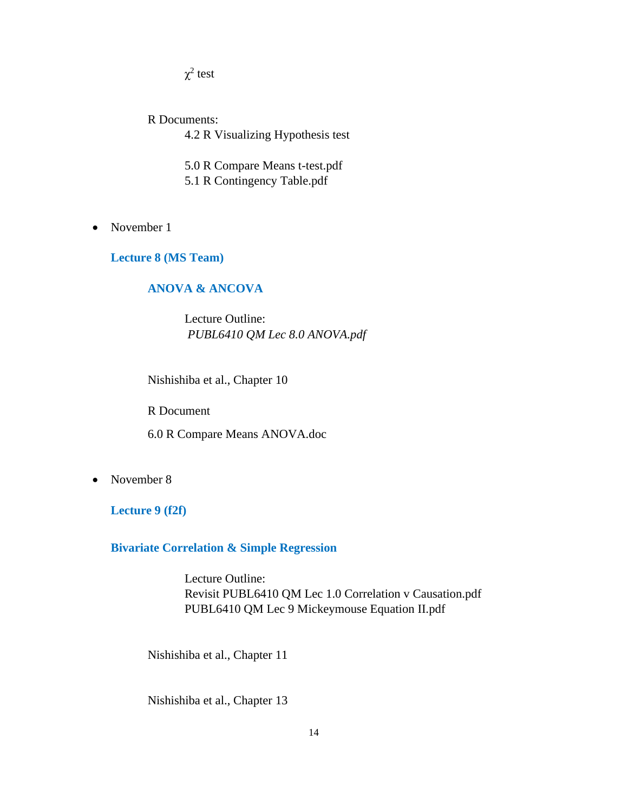$\chi^2$  test

R Documents: 4.2 R Visualizing Hypothesis test

5.0 R Compare Means t-test.pdf

- 5.1 R Contingency Table.pdf
- November 1

**Lecture 8 (MS Team)**

# **ANOVA & ANCOVA**

Lecture Outline: *PUBL6410 QM Lec 8.0 ANOVA.pdf*

Nishishiba et al., Chapter 10

R Document

6.0 R Compare Means ANOVA.doc

• November 8

**Lecture 9 (f2f)**

**Bivariate Correlation & Simple Regression**

Lecture Outline: Revisit PUBL6410 QM Lec 1.0 Correlation v Causation.pdf PUBL6410 QM Lec 9 Mickeymouse Equation II.pdf

Nishishiba et al., Chapter 11

Nishishiba et al., Chapter 13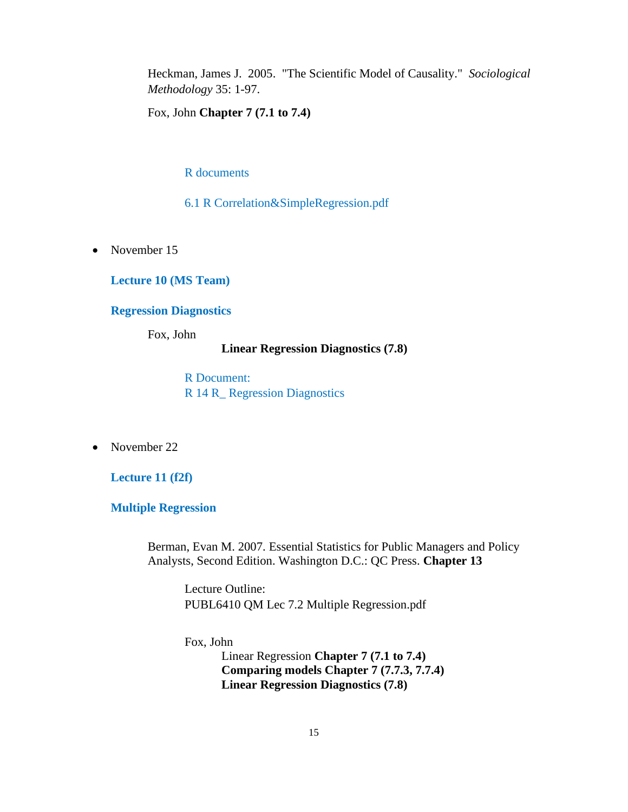Heckman, James J. 2005. "The Scientific Model of Causality." *Sociological Methodology* 35: 1-97.

Fox, John **Chapter 7 (7.1 to 7.4)**

R documents

6.1 R Correlation&SimpleRegression.pdf

• November 15

**Lecture 10 (MS Team)**

# **Regression Diagnostics**

Fox, John

#### **Linear Regression Diagnostics (7.8)**

R Document: R 14 R\_ Regression Diagnostics

• November 22

**Lecture 11 (f2f)**

**Multiple Regression**

Berman, Evan M. 2007. Essential Statistics for Public Managers and Policy Analysts, Second Edition. Washington D.C.: QC Press. **Chapter 13** 

Lecture Outline: PUBL6410 QM Lec 7.2 Multiple Regression.pdf

Fox, John

Linear Regression **Chapter 7 (7.1 to 7.4) Comparing models Chapter 7 (7.7.3, 7.7.4) Linear Regression Diagnostics (7.8)**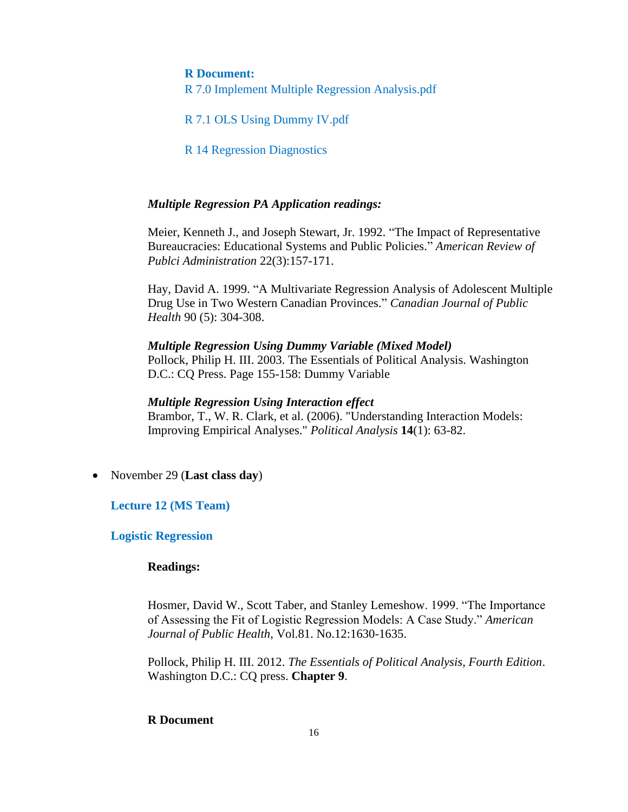## **R Document:**

R 7.0 Implement Multiple Regression Analysis.pdf

R 7.1 OLS Using Dummy IV.pdf

R 14 Regression Diagnostics

## *Multiple Regression PA Application readings:*

Meier, Kenneth J., and Joseph Stewart, Jr. 1992. "The Impact of Representative Bureaucracies: Educational Systems and Public Policies." *American Review of Publci Administration* 22(3):157-171.

Hay, David A. 1999. "A Multivariate Regression Analysis of Adolescent Multiple Drug Use in Two Western Canadian Provinces." *Canadian Journal of Public Health* 90 (5): 304-308.

#### *Multiple Regression Using Dummy Variable (Mixed Model)*

Pollock, Philip H. III. 2003. The Essentials of Political Analysis. Washington D.C.: CQ Press. Page 155-158: Dummy Variable

### *Multiple Regression Using Interaction effect*

Brambor, T., W. R. Clark, et al. (2006). "Understanding Interaction Models: Improving Empirical Analyses." *Political Analysis* **14**(1): 63-82.

• November 29 (**Last class day**)

## **Lecture 12 (MS Team)**

#### **Logistic Regression**

### **Readings:**

Hosmer, David W., Scott Taber, and Stanley Lemeshow. 1999. "The Importance of Assessing the Fit of Logistic Regression Models: A Case Study." *American Journal of Public Health*, Vol.81. No.12:1630-1635.

Pollock, Philip H. III. 2012. *The Essentials of Political Analysis, Fourth Edition*. Washington D.C.: CQ press. **Chapter 9**.

## **R Document**